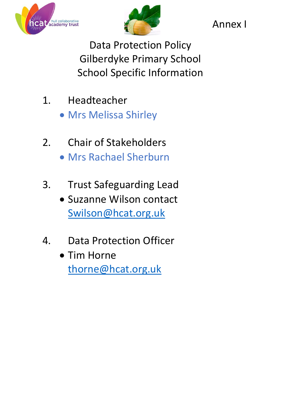



Annex I

Data Protection Policy Gilberdyke Primary School School Specific Information

- 1. Headteacher
	- Mrs Melissa Shirley
- 2. Chair of Stakeholders Mrs Rachael Sherburn
- 3. Trust Safeguarding Lead
	- Suzanne Wilson contact [Swilson@hcat.org.uk](mailto:Swilson@hcat.org.uk)
- 4. Data Protection Officer
	- Tim Horne thorne@hcat.org.uk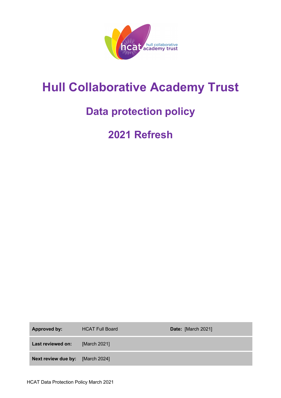

# **Hull Collaborative Academy Trust**

# **Data protection policy**

# **2021 Refresh**

| Approved by:                     | <b>HCAT Full Board</b> | Date: [March 2021] |
|----------------------------------|------------------------|--------------------|
| Last reviewed on:                | [March 2021]           |                    |
| Next review due by: [March 2024] |                        |                    |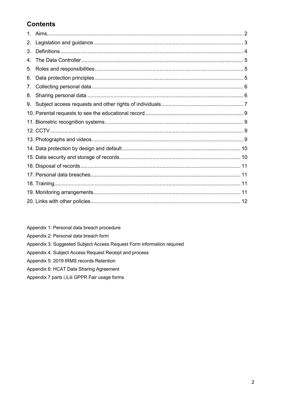# **Contents**

| 2. |  |  |  |  |
|----|--|--|--|--|
| 3. |  |  |  |  |
| 4. |  |  |  |  |
| 5. |  |  |  |  |
| 6. |  |  |  |  |
| 7. |  |  |  |  |
| 8. |  |  |  |  |
| 9. |  |  |  |  |
|    |  |  |  |  |
|    |  |  |  |  |
|    |  |  |  |  |
|    |  |  |  |  |
|    |  |  |  |  |
|    |  |  |  |  |
|    |  |  |  |  |
|    |  |  |  |  |
|    |  |  |  |  |
|    |  |  |  |  |
|    |  |  |  |  |

Appendix 1: Personal data breach procedure

- Appendix 2: Personal data breach form
- Appendix 3: Suggested Subject Access Request Form information required
- Appendix 4: Subject Access Request Receipt and process
- Appendix 5: 2019 IRMS records Retention

#### Appendix 6: HCAT Data Sharing Agreement

Appendix 7 parts i, ii, iii GPPR Fair usage forms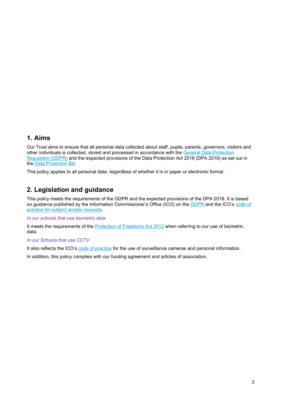### **1. Aims**

Our Trust aims to ensure that all personal data collected about staff, pupils, parents, governors, visitors and other individuals is collected, stored and processed in accordance with the General Data Protection Regulation (GDPR) and the expected provisions of the Data Protection Act 2018 (DPA 2018) as set out in the Data Protection Bill.

This policy applies to all personal data, regardless of whether it is in paper or electronic format.

### **2. Legislation and guidance**

This policy meets the requirements of the GDPR and the expected provisions of the DPA 2018. It is based on guidance published by the Information Commissioner's Office (ICO) on the GDPR and the ICO's code of practice for subject access requests.

#### *In our schools that use biometric data*

It meets the requirements of the Protection of Freedoms Act 2012 when referring to our use of biometric data.

#### *In our Schools that use CCTV*

It also reflects the ICO's code of practice for the use of surveillance cameras and personal information.

In addition, this policy complies with our funding agreement and articles of association.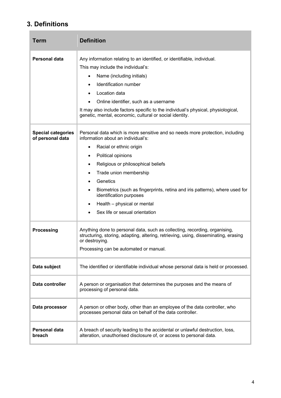# **3. Definitions**

**The Co** 

| Term                                          | <b>Definition</b>                                                                                                                                                                                                                                                                                                                                                                                                                                                                    |  |
|-----------------------------------------------|--------------------------------------------------------------------------------------------------------------------------------------------------------------------------------------------------------------------------------------------------------------------------------------------------------------------------------------------------------------------------------------------------------------------------------------------------------------------------------------|--|
| <b>Personal data</b>                          | Any information relating to an identified, or identifiable, individual.<br>This may include the individual's:<br>Name (including initials)<br>$\bullet$<br>Identification number<br>$\bullet$<br>Location data<br>$\bullet$<br>Online identifier, such as a username<br>It may also include factors specific to the individual's physical, physiological,<br>genetic, mental, economic, cultural or social identity.                                                                 |  |
| <b>Special categories</b><br>of personal data | Personal data which is more sensitive and so needs more protection, including<br>information about an individual's:<br>Racial or ethnic origin<br>$\bullet$<br>Political opinions<br>$\bullet$<br>Religious or philosophical beliefs<br>$\bullet$<br>Trade union membership<br>$\bullet$<br>Genetics<br>Biometrics (such as fingerprints, retina and iris patterns), where used for<br>٠<br>identification purposes<br>Health - physical or mental<br>Sex life or sexual orientation |  |
| <b>Processing</b>                             | Anything done to personal data, such as collecting, recording, organising,<br>structuring, storing, adapting, altering, retrieving, using, disseminating, erasing<br>or destroying.<br>Processing can be automated or manual.                                                                                                                                                                                                                                                        |  |
| Data subject                                  | The identified or identifiable individual whose personal data is held or processed.                                                                                                                                                                                                                                                                                                                                                                                                  |  |
| Data controller                               | A person or organisation that determines the purposes and the means of<br>processing of personal data.                                                                                                                                                                                                                                                                                                                                                                               |  |
| Data processor                                | A person or other body, other than an employee of the data controller, who<br>processes personal data on behalf of the data controller.                                                                                                                                                                                                                                                                                                                                              |  |
| <b>Personal data</b><br>breach                | A breach of security leading to the accidental or unlawful destruction, loss,<br>alteration, unauthorised disclosure of, or access to personal data.                                                                                                                                                                                                                                                                                                                                 |  |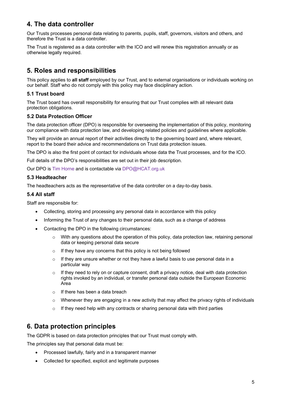# **4. The data controller**

Our Trusts processes personal data relating to parents, pupils, staff, governors, visitors and others, and therefore the Trust is a data controller.

The Trust is registered as a data controller with the ICO and will renew this registration annually or as otherwise legally required.

## **5. Roles and responsibilities**

This policy applies to **all staff** employed by our Trust, and to external organisations or individuals working on our behalf. Staff who do not comply with this policy may face disciplinary action.

#### **5.1 Trust board**

The Trust board has overall responsibility for ensuring that our Trust complies with all relevant data protection obligations.

#### **5.2 Data Protection Officer**

The data protection officer (DPO) is responsible for overseeing the implementation of this policy, monitoring our compliance with data protection law, and developing related policies and guidelines where applicable.

They will provide an annual report of their activities directly to the governing board and, where relevant, report to the board their advice and recommendations on Trust data protection issues.

The DPO is also the first point of contact for individuals whose data the Trust processes, and for the ICO.

Full details of the DPO's responsibilities are set out in their job description.

Our DPO is Tim Horne and is contactable via DPO@HCAT.org.uk

#### **5.3 Headteacher**

The headteachers acts as the representative of the data controller on a day-to-day basis.

#### **5.4 All staff**

Staff are responsible for:

- Collecting, storing and processing any personal data in accordance with this policy
- Informing the Trust of any changes to their personal data, such as a change of address
- Contacting the DPO in the following circumstances:
	- $\circ$  With any questions about the operation of this policy, data protection law, retaining personal data or keeping personal data secure
	- o If they have any concerns that this policy is not being followed
	- o If they are unsure whether or not they have a lawful basis to use personal data in a particular way
	- $\circ$  If they need to rely on or capture consent, draft a privacy notice, deal with data protection rights invoked by an individual, or transfer personal data outside the European Economic Area
	- o If there has been a data breach
	- $\circ$  Whenever they are engaging in a new activity that may affect the privacy rights of individuals
	- $\circ$  If they need help with any contracts or sharing personal data with third parties

### **6. Data protection principles**

The GDPR is based on data protection principles that our Trust must comply with.

The principles say that personal data must be:

- Processed lawfully, fairly and in a transparent manner
- Collected for specified, explicit and legitimate purposes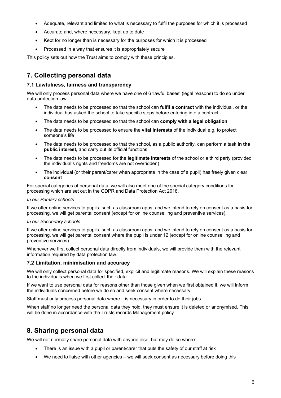- Adequate, relevant and limited to what is necessary to fulfil the purposes for which it is processed
- Accurate and, where necessary, kept up to date
- Kept for no longer than is necessary for the purposes for which it is processed
- Processed in a way that ensures it is appropriately secure

This policy sets out how the Trust aims to comply with these principles.

# **7. Collecting personal data**

#### **7.1 Lawfulness, fairness and transparency**

We will only process personal data where we have one of 6 'lawful bases' (legal reasons) to do so under data protection law:

- The data needs to be processed so that the school can **fulfil a contract** with the individual, or the individual has asked the school to take specific steps before entering into a contract
- The data needs to be processed so that the school can **comply with a legal obligation**
- The data needs to be processed to ensure the **vital interests** of the individual e.g. to protect someone's life
- The data needs to be processed so that the school, as a public authority, can perform a task **in the public interest,** and carry out its official functions
- The data needs to be processed for the **legitimate interests** of the school or a third party (provided the individual's rights and freedoms are not overridden)
- The individual (or their parent/carer when appropriate in the case of a pupil) has freely given clear **consent**

For special categories of personal data, we will also meet one of the special category conditions for processing which are set out in the GDPR and Data Protection Act 2018.

#### *In our Primary schools*

If we offer online services to pupils, such as classroom apps, and we intend to rely on consent as a basis for processing, we will get parental consent (except for online counselling and preventive services).

#### *In our Secondary schools*

If we offer online services to pupils, such as classroom apps, and we intend to rely on consent as a basis for processing, we will get parental consent where the pupil is under 12 (except for online counselling and preventive services).

Whenever we first collect personal data directly from individuals, we will provide them with the relevant information required by data protection law.

#### **7.2 Limitation, minimisation and accuracy**

We will only collect personal data for specified, explicit and legitimate reasons. We will explain these reasons to the individuals when we first collect their data.

If we want to use personal data for reasons other than those given when we first obtained it, we will inform the individuals concerned before we do so and seek consent where necessary.

Staff must only process personal data where it is necessary in order to do their jobs.

When staff no longer need the personal data they hold, they must ensure it is deleted or anonymised. This will be done in accordance with the Trusts records Management policy

### **8. Sharing personal data**

We will not normally share personal data with anyone else, but may do so where:

- There is an issue with a pupil or parent/carer that puts the safety of our staff at risk
- We need to liaise with other agencies we will seek consent as necessary before doing this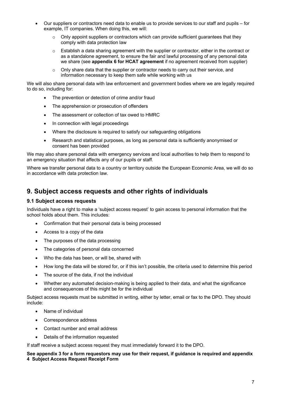- Our suppliers or contractors need data to enable us to provide services to our staff and pupils for example, IT companies. When doing this, we will:
	- $\circ$  Only appoint suppliers or contractors which can provide sufficient guarantees that they comply with data protection law
	- o Establish a data sharing agreement with the supplier or contractor, either in the contract or as a standalone agreement, to ensure the fair and lawful processing of any personal data we share (see **appendix 6 for HCAT agreement** if no agreement received from supplier)
	- o Only share data that the supplier or contractor needs to carry out their service, and information necessary to keep them safe while working with us

We will also share personal data with law enforcement and government bodies where we are legally required to do so, including for:

- The prevention or detection of crime and/or fraud
- The apprehension or prosecution of offenders
- The assessment or collection of tax owed to HMRC
- In connection with legal proceedings
- Where the disclosure is required to satisfy our safeguarding obligations
- Research and statistical purposes, as long as personal data is sufficiently anonymised or consent has been provided

We may also share personal data with emergency services and local authorities to help them to respond to an emergency situation that affects any of our pupils or staff.

Where we transfer personal data to a country or territory outside the European Economic Area, we will do so in accordance with data protection law.

### **9. Subject access requests and other rights of individuals**

#### **9.1 Subject access requests**

Individuals have a right to make a 'subject access request' to gain access to personal information that the school holds about them. This includes:

- Confirmation that their personal data is being processed
- Access to a copy of the data
- The purposes of the data processing
- The categories of personal data concerned
- Who the data has been, or will be, shared with
- How long the data will be stored for, or if this isn't possible, the criteria used to determine this period
- The source of the data, if not the individual
- Whether any automated decision-making is being applied to their data, and what the significance and consequences of this might be for the individual

Subject access requests must be submitted in writing, either by letter, email or fax to the DPO. They should include:

- Name of individual
- Correspondence address
- Contact number and email address
- Details of the information requested

If staff receive a subject access request they must immediately forward it to the DPO.

#### **See appendix 3 for a form requestors may use for their request, if guidance is required and appendix 4 Subject Access Request Receipt Form**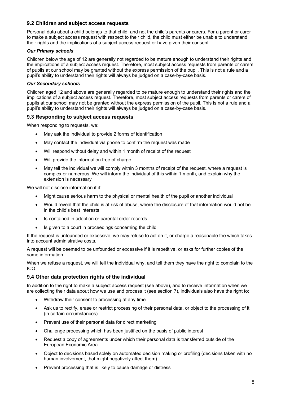#### **9.2 Children and subject access requests**

Personal data about a child belongs to that child, and not the child's parents or carers. For a parent or carer to make a subject access request with respect to their child, the child must either be unable to understand their rights and the implications of a subject access request or have given their consent.

#### *Our Primary schools*

Children below the age of 12 are generally not regarded to be mature enough to understand their rights and the implications of a subject access request. Therefore, most subject access requests from parents or carers of pupils at our school may be granted without the express permission of the pupil. This is not a rule and a pupil's ability to understand their rights will always be judged on a case-by-case basis.

#### *Our Secondary schools*

Children aged 12 and above are generally regarded to be mature enough to understand their rights and the implications of a subject access request. Therefore, most subject access requests from parents or carers of pupils at our school may not be granted without the express permission of the pupil. This is not a rule and a pupil's ability to understand their rights will always be judged on a case-by-case basis.

#### **9.3 Responding to subject access requests**

When responding to requests, we:

- May ask the individual to provide 2 forms of identification
- May contact the individual via phone to confirm the request was made
- Will respond without delay and within 1 month of receipt of the request
- Will provide the information free of charge
- May tell the individual we will comply within 3 months of receipt of the request, where a request is complex or numerous. We will inform the individual of this within 1 month, and explain why the extension is necessary

We will not disclose information if it:

- Might cause serious harm to the physical or mental health of the pupil or another individual
- Would reveal that the child is at risk of abuse, where the disclosure of that information would not be in the child's best interests
- Is contained in adoption or parental order records
- Is given to a court in proceedings concerning the child

If the request is unfounded or excessive, we may refuse to act on it, or charge a reasonable fee which takes into account administrative costs.

A request will be deemed to be unfounded or excessive if it is repetitive, or asks for further copies of the same information.

When we refuse a request, we will tell the individual why, and tell them they have the right to complain to the ICO.

#### **9.4 Other data protection rights of the individual**

In addition to the right to make a subject access request (see above), and to receive information when we are collecting their data about how we use and process it (see section 7), individuals also have the right to:

- Withdraw their consent to processing at any time
- Ask us to rectify, erase or restrict processing of their personal data, or object to the processing of it (in certain circumstances)
- Prevent use of their personal data for direct marketing
- Challenge processing which has been justified on the basis of public interest
- Request a copy of agreements under which their personal data is transferred outside of the European Economic Area
- Object to decisions based solely on automated decision making or profiling (decisions taken with no human involvement, that might negatively affect them)
- Prevent processing that is likely to cause damage or distress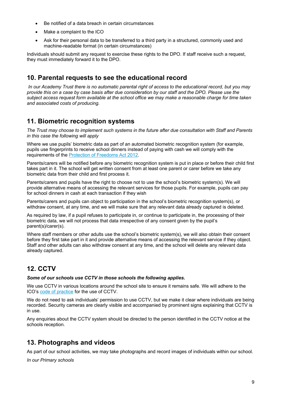- Be notified of a data breach in certain circumstances
- Make a complaint to the ICO
- Ask for their personal data to be transferred to a third party in a structured, commonly used and machine-readable format (in certain circumstances)

Individuals should submit any request to exercise these rights to the DPO. If staff receive such a request, they must immediately forward it to the DPO.

### **10. Parental requests to see the educational record**

*In our Academy Trust there is no automatic parental right of access to the educational record, but you may provide this on a case by case basis after due consideration by our staff and the DPO. Please use the subject access request form available at the school office we may make a reasonable charge for time taken and associated costs of producing.* 

### **11. Biometric recognition systems**

*The Trust may choose to implement such systems in the future after due consultation with Staff and Parents in this case the following will apply* 

Where we use pupils' biometric data as part of an automated biometric recognition system (for example, pupils use fingerprints to receive school dinners instead of paying with cash we will comply with the requirements of the Protection of Freedoms Act 2012.

Parents/carers will be notified before any biometric recognition system is put in place or before their child first takes part in it. The school will get written consent from at least one parent or carer before we take any biometric data from their child and first process it.

Parents/carers and pupils have the right to choose not to use the school's biometric system(s). We will provide alternative means of accessing the relevant services for those pupils. For example, pupils can pay for school dinners in cash at each transaction if they wish

Parents/carers and pupils can object to participation in the school's biometric recognition system(s), or withdraw consent, at any time, and we will make sure that any relevant data already captured is deleted.

As required by law, if a pupil refuses to participate in, or continue to participate in, the processing of their biometric data, we will not process that data irrespective of any consent given by the pupil's parent(s)/carer(s).

Where staff members or other adults use the school's biometric system(s), we will also obtain their consent before they first take part in it and provide alternative means of accessing the relevant service if they object. Staff and other adults can also withdraw consent at any time, and the school will delete any relevant data already captured.

# **12. CCTV**

#### *Some of our schools use CCTV in those schools the following applies.*

We use CCTV in various locations around the school site to ensure it remains safe. We will adhere to the ICO's code of practice for the use of CCTV.

We do not need to ask individuals' permission to use CCTV, but we make it clear where individuals are being recorded. Security cameras are clearly visible and accompanied by prominent signs explaining that CCTV is in use.

Any enquiries about the CCTV system should be directed to the person identified in the CCTV notice at the schools reception.

### **13. Photographs and videos**

As part of our school activities, we may take photographs and record images of individuals within our school.

*In our Primary schools*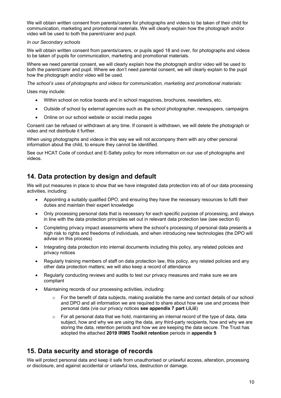We will obtain written consent from parents/carers for photographs and videos to be taken of their child for communication, marketing and promotional materials. We will clearly explain how the photograph and/or video will be used to both the parent/carer and pupil.

#### *In our Secondary schools*

We will obtain written consent from parents/carers, or pupils aged 18 and over, for photographs and videos to be taken of pupils for communication, marketing and promotional materials.

Where we need parental consent, we will clearly explain how the photograph and/or video will be used to both the parent/carer and pupil. Where we don't need parental consent, we will clearly explain to the pupil how the photograph and/or video will be used.

*The school's uses of photographs and videos for communication, marketing and promotional materials:*

Uses may include:

- Within school on notice boards and in school magazines, brochures, newsletters, etc.
- Outside of school by external agencies such as the school photographer, newspapers, campaigns
- Online on our school website or social media pages

Consent can be refused or withdrawn at any time. If consent is withdrawn, we will delete the photograph or video and not distribute it further.

When using photographs and videos in this way we will not accompany them with any other personal information about the child, to ensure they cannot be identified.

See our HCAT Code of conduct and E-Safety policy for more information on our use of photographs and videos.

### **14. Data protection by design and default**

We will put measures in place to show that we have integrated data protection into all of our data processing activities, including:

- Appointing a suitably qualified DPO, and ensuring they have the necessary resources to fulfil their duties and maintain their expert knowledge
- Only processing personal data that is necessary for each specific purpose of processing, and always in line with the data protection principles set out in relevant data protection law (see section 6)
- Completing privacy impact assessments where the school's processing of personal data presents a high risk to rights and freedoms of individuals, and when introducing new technologies (the DPO will advise on this process)
- Integrating data protection into internal documents including this policy, any related policies and privacy notices
- Regularly training members of staff on data protection law, this policy, any related policies and any other data protection matters; we will also keep a record of attendance
- Regularly conducting reviews and audits to test our privacy measures and make sure we are compliant
- Maintaining records of our processing activities, including:
	- $\circ$  For the benefit of data subjects, making available the name and contact details of our school and DPO and all information we are required to share about how we use and process their personal data (via our privacy notices **see appendix 7 part i,ii,iii**)
	- $\circ$  For all personal data that we hold, maintaining an internal record of the type of data, data subject, how and why we are using the data, any third-party recipients, how and why we are storing the data, retention periods and how we are keeping the data secure. The Trust has adopted the attached **2019 IRMS Toolkit retention** periods in **appendix 5**

### **15. Data security and storage of records**

We will protect personal data and keep it safe from unauthorised or unlawful access, alteration, processing or disclosure, and against accidental or unlawful loss, destruction or damage.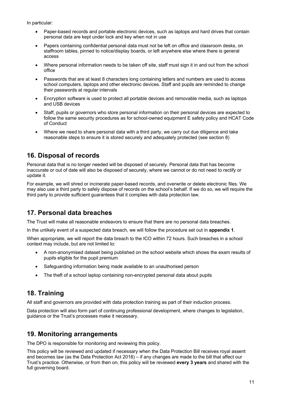In particular:

- Paper-based records and portable electronic devices, such as laptops and hard drives that contain personal data are kept under lock and key when not in use
- Papers containing confidential personal data must not be left on office and classroom desks, on staffroom tables, pinned to notice/display boards, or left anywhere else where there is general access
- Where personal information needs to be taken off site, staff must sign it in and out from the school office
- Passwords that are at least 8 characters long containing letters and numbers are used to access school computers, laptops and other electronic devices. Staff and pupils are reminded to change their passwords at regular intervals
- Encryption software is used to protect all portable devices and removable media, such as laptops and USB devices
- Staff, pupils or governors who store personal information on their personal devices are expected to follow the same security procedures as for school-owned equipment E safety policy and HCAT Code of Conduct
- Where we need to share personal data with a third party, we carry out due diligence and take reasonable steps to ensure it is stored securely and adequately protected (see section 8)

# **16. Disposal of records**

Personal data that is no longer needed will be disposed of securely. Personal data that has become inaccurate or out of date will also be disposed of securely, where we cannot or do not need to rectify or update it.

For example, we will shred or incinerate paper-based records, and overwrite or delete electronic files. We may also use a third party to safely dispose of records on the school's behalf. If we do so, we will require the third party to provide sufficient guarantees that it complies with data protection law.

# **17. Personal data breaches**

The Trust will make all reasonable endeavors to ensure that there are no personal data breaches.

In the unlikely event of a suspected data breach, we will follow the procedure set out in **appendix 1**.

When appropriate, we will report the data breach to the ICO within 72 hours. Such breaches in a school context may include, but are not limited to:

- A non-anonymised dataset being published on the school website which shows the exam results of pupils eligible for the pupil premium
- Safeguarding information being made available to an unauthorised person
- The theft of a school laptop containing non-encrypted personal data about pupils

# **18. Training**

All staff and governors are provided with data protection training as part of their induction process.

Data protection will also form part of continuing professional development, where changes to legislation, guidance or the Trust's processes make it necessary.

### **19. Monitoring arrangements**

The DPO is responsible for monitoring and reviewing this policy.

This policy will be reviewed and updated if necessary when the Data Protection Bill receives royal assent and becomes law (as the Data Protection Act 2018) – if any changes are made to the bill that affect our Trust's practice. Otherwise, or from then on, this policy will be reviewed **every 3 years** and shared with the full governing board.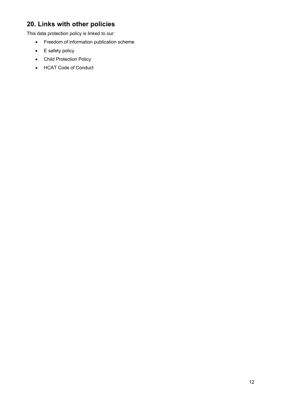# **20. Links with other policies**

This data protection policy is linked to our:

- Freedom of information publication scheme
- E safety policy
- Child Protection Policy
- HCAT Code of Conduct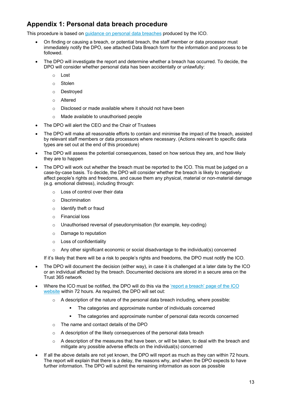# **Appendix 1: Personal data breach procedure**

This procedure is based on guidance on personal data breaches produced by the ICO.

- On finding or causing a breach, or potential breach, the staff member or data processor must immediately notify the DPO, see attached Data Breach form for the information and process to be followed.
- The DPO will investigate the report and determine whether a breach has occurred. To decide, the DPO will consider whether personal data has been accidentally or unlawfully:
	- o Lost
	- o Stolen
	- o Destroyed
	- o Altered
	- o Disclosed or made available where it should not have been
	- o Made available to unauthorised people
- The DPO will alert the CEO and the Chair of Trustees
- The DPO will make all reasonable efforts to contain and minimise the impact of the breach, assisted by relevant staff members or data processors where necessary. (Actions relevant to specific data types are set out at the end of this procedure)
- The DPO will assess the potential consequences, based on how serious they are, and how likely they are to happen
- The DPO will work out whether the breach must be reported to the ICO. This must be judged on a case-by-case basis. To decide, the DPO will consider whether the breach is likely to negatively affect people's rights and freedoms, and cause them any physical, material or non-material damage (e.g. emotional distress), including through:
	- o Loss of control over their data
	- o Discrimination
	- o Identify theft or fraud
	- o Financial loss
	- o Unauthorised reversal of pseudonymisation (for example, key-coding)
	- o Damage to reputation
	- o Loss of confidentiality
	- o Any other significant economic or social disadvantage to the individual(s) concerned

If it's likely that there will be a risk to people's rights and freedoms, the DPO must notify the ICO.

- The DPO will document the decision (either way), in case it is challenged at a later date by the ICO or an individual affected by the breach. Documented decisions are stored in a secure area on the Trust 365 network
- Where the ICO must be notified, the DPO will do this via the 'report a breach' page of the ICO website within 72 hours. As required, the DPO will set out:
	- $\circ$  A description of the nature of the personal data breach including, where possible:
		- § The categories and approximate number of individuals concerned
		- The categories and approximate number of personal data records concerned
	- o The name and contact details of the DPO
	- o A description of the likely consequences of the personal data breach
	- $\circ$  A description of the measures that have been, or will be taken, to deal with the breach and mitigate any possible adverse effects on the individual(s) concerned
- If all the above details are not yet known, the DPO will report as much as they can within 72 hours. The report will explain that there is a delay, the reasons why, and when the DPO expects to have further information. The DPO will submit the remaining information as soon as possible